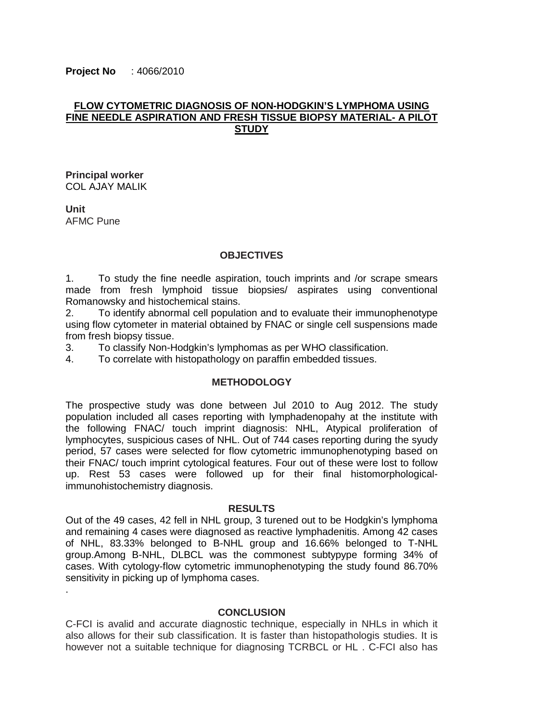**Project No** : 4066/2010

# **FLOW CYTOMETRIC DIAGNOSIS OF NON-HODGKIN'S LYMPHOMA USING FINE NEEDLE ASPIRATION AND FRESH TISSUE BIOPSY MATERIAL- A PILOT STUDY**

**Principal worker** COL AJAY MALIK

**Unit** AFMC Pune

.

# **OBJECTIVES**

1. To study the fine needle aspiration, touch imprints and /or scrape smears made from fresh lymphoid tissue biopsies/ aspirates using conventional Romanowsky and histochemical stains.

2. To identify abnormal cell population and to evaluate their immunophenotype using flow cytometer in material obtained by FNAC or single cell suspensions made from fresh biopsy tissue.

3. To classify Non-Hodgkin's lymphomas as per WHO classification.

4. To correlate with histopathology on paraffin embedded tissues.

# **METHODOLOGY**

The prospective study was done between Jul 2010 to Aug 2012. The study population included all cases reporting with lymphadenopahy at the institute with the following FNAC/ touch imprint diagnosis: NHL, Atypical proliferation of lymphocytes, suspicious cases of NHL. Out of 744 cases reporting during the syudy period, 57 cases were selected for flow cytometric immunophenotyping based on their FNAC/ touch imprint cytological features. Four out of these were lost to follow up. Rest 53 cases were followed up for their final histomorphologicalimmunohistochemistry diagnosis.

#### **RESULTS**

Out of the 49 cases, 42 fell in NHL group, 3 turened out to be Hodgkin's lymphoma and remaining 4 cases were diagnosed as reactive lymphadenitis. Among 42 cases of NHL, 83.33% belonged to B-NHL group and 16.66% belonged to T-NHL group.Among B-NHL, DLBCL was the commonest subtypype forming 34% of cases. With cytology-flow cytometric immunophenotyping the study found 86.70% sensitivity in picking up of lymphoma cases.

#### **CONCLUSION**

C-FCI is avalid and accurate diagnostic technique, especially in NHLs in which it also allows for their sub classification. It is faster than histopathologis studies. It is however not a suitable technique for diagnosing TCRBCL or HL . C-FCI also has